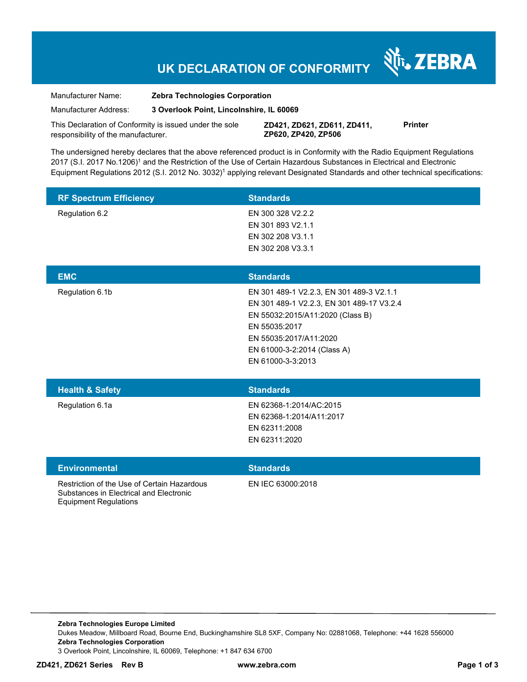## **UK DECLARATION OF CONFORMITY**

Manufacturer Name: **Zebra Technologies Corporation** 

Manufacturer Address: **3 Overlook Point, Lincolnshire, IL 60069** 

This Declaration of Conformity is issued under the sole responsibility of the manufacturer.

**ZD421, ZD621, ZD611, ZD411, ZP620, ZP420, ZP506**

**Printer** 

N<sub>i</sub>, ZEBRA

The undersigned hereby declares that the above referenced product is in Conformity with the Radio Equipment Regulations 2017 (S.I. 2017 No.1206)<sup>1</sup> and the Restriction of the Use of Certain Hazardous Substances in Electrical and Electronic Equipment Regulations 2012 (S.I. 2012 No. 3032)<sup>1</sup> applying relevant Designated Standards and other technical specifications:

| <b>RF Spectrum Efficiency</b>                                                                                          | <b>Standards</b>                                                                                                                                                                                                         |
|------------------------------------------------------------------------------------------------------------------------|--------------------------------------------------------------------------------------------------------------------------------------------------------------------------------------------------------------------------|
| Regulation 6.2                                                                                                         | EN 300 328 V2.2.2<br>EN 301 893 V2.1.1<br>EN 302 208 V3.1.1<br>EN 302 208 V3.3.1                                                                                                                                         |
| <b>EMC</b>                                                                                                             | <b>Standards</b>                                                                                                                                                                                                         |
| Regulation 6.1b                                                                                                        | EN 301 489-1 V2.2.3, EN 301 489-3 V2.1.1<br>EN 301 489-1 V2.2.3, EN 301 489-17 V3.2.4<br>EN 55032:2015/A11:2020 (Class B)<br>EN 55035:2017<br>EN 55035:2017/A11:2020<br>EN 61000-3-2:2014 (Class A)<br>EN 61000-3-3:2013 |
| <b>Health &amp; Safety</b>                                                                                             | <b>Standards</b>                                                                                                                                                                                                         |
| Regulation 6.1a                                                                                                        | EN 62368-1:2014/AC:2015<br>EN 62368-1:2014/A11:2017<br>EN 62311:2008<br>EN 62311:2020                                                                                                                                    |
| <b>Environmental</b>                                                                                                   | <b>Standards</b>                                                                                                                                                                                                         |
| Restriction of the Use of Certain Hazardous<br>Substances in Electrical and Electronic<br><b>Equipment Regulations</b> | EN IEC 63000:2018                                                                                                                                                                                                        |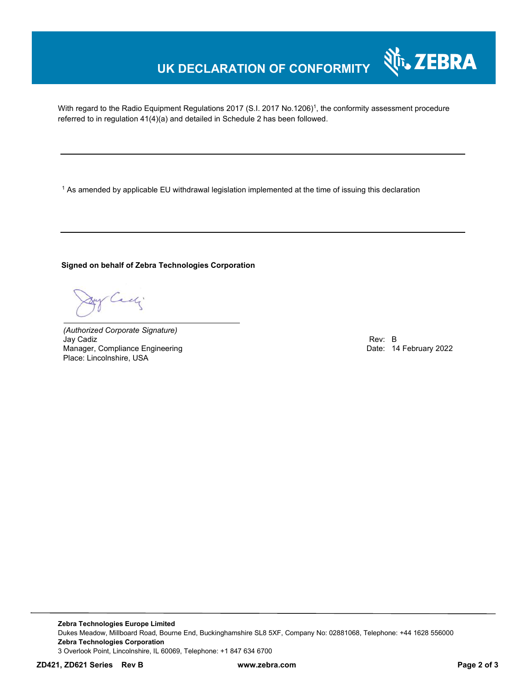## **UK DECLARATION OF CONFORMITY**

With regard to the Radio Equipment Regulations 2017 (S.I. 2017 No.1206)<sup>1</sup>, the conformity assessment procedure referred to in regulation 41(4)(a) and detailed in Schedule 2 has been followed.

 $^{\rm 1}$  As amended by applicable EU withdrawal legislation implemented at the time of issuing this declaration

**Signed on behalf of Zebra Technologies Corporation** 

Cadj

*(Authorized Corporate Signature)* Jay Cadiz **Example 2018 Rev: B** Manager, Compliance Engineering **Date: 14 February 2022** Place: Lincolnshire, USA

Nr. ZEBRA